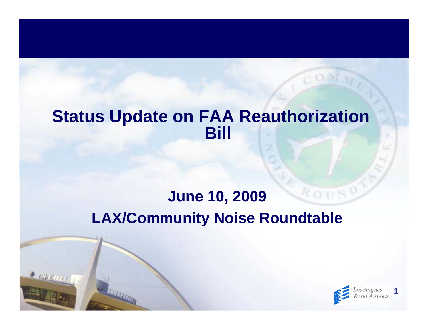#### **Status Update on FAA Reauthorization Bill**

#### ROUN **June 10, 2009 LAX/Community Noise Roundtable**

 $2000000$ 

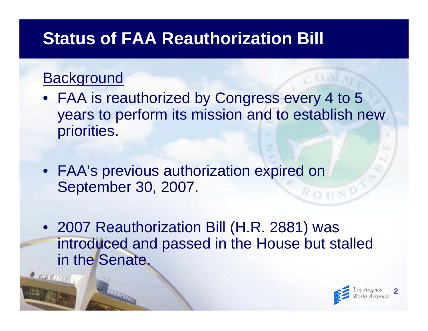## **Status of FAA Reauthorization Bill**

#### **Background**

- FAA is reauthorized by Congress every 4 to 5 years to perform its mission and to establish new priorities.
- FAA's previous authorization expired on September 30, 2007. ROUN
- 2007 Reauthorization Bill (H.R. 2881) was introduced and passed in the House but stalled in the Senate.

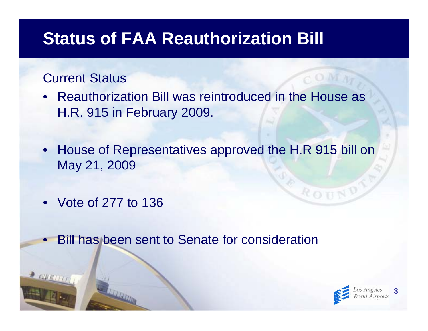#### **Status of FAA Reauthorization Bill**

#### Current Status

- Reauthorization Bill was reintroduced in the House as H.R. 915 in February 2009.
- House of Representatives approved the H.R 915 bill on May 21, 2009
- Vote of 277 to 136

 $\bullet$ 

Bill has been sent to Senate for consideration



ROU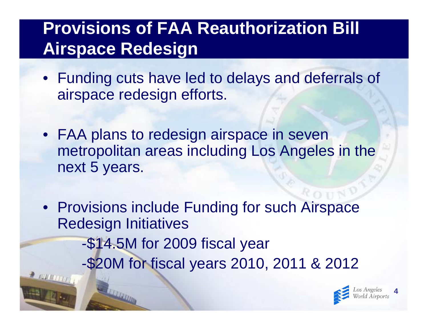# **Provisions of FAA Reauthorization Bill Airspace Redesign**

- Funding cuts have led to delays and deferrals of airspace redesign efforts.
- FAA plans to redesign airspace in seven metropolitan areas including Los Angeles in the next 5 years.
- Provisions include Funding for such Airspace Redesign Initiatives
	- -\$14.5M for 2009 fiscal year
	- -\$20M for fiscal years 2010, 2011 & 2012



**4**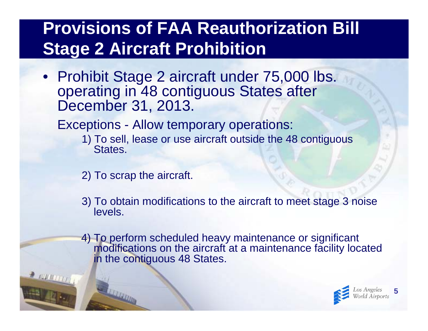## **Provisions of FAA Reauthorization Bill Stage 2 Aircraft Prohibition**

• Prohibit Stage 2 aircraft under 75,000 lbs. operating in 48 contiguous States after December 31, 2013.

Exceptions - Allow temporary operations:

- 1) To sell, lease or use aircraft outside the 48 contiguous States.
- 2) To scrap the aircraft.

 $\rightarrow$  running

- 3) To obtain modifications to the aircraft to meet stage 3 noise levels.
- 4) To perform scheduled heavy maintenance or significant modifications on the aircraft at a maintenance facility located in the contiguous 48 States.

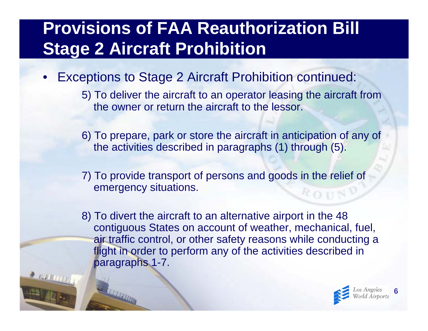## **Provisions of FAA Reauthorization Bill Stage 2 Aircraft Prohibition**

- • Exceptions to Stage 2 Aircraft Prohibition continued:
	- 5) To deliver the aircraft to an operator leasing the aircraft from the owner or return the aircraft to the lessor.
	- 6) To prepare, park or store the aircraft in anticipation of any of the activities described in paragraphs (1) through (5).
	- 7) To provide transport of persons and goods in the relief of emergency situations.
	- 8) To divert the aircraft to an alternative airport in the 48 contiguous States on account of weather, mechanical, fuel, air traffic control, or other safety reasons while conducting a flight in order to perform any of the activities described in paragraphs 1-7.

**LETTRING** 

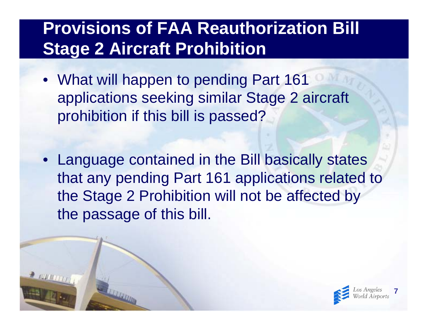## **Provisions of FAA Reauthorization Bill Stage 2 Aircraft Prohibition**

- What will happen to pending Part 161 applications seeking similar Stage 2 aircraft prohibition if this bill is passed?
- Language contained in the Bill basically states that any pending Part 161 applications related to the Stage 2 Prohibition will not be affected by the passage of this bill.

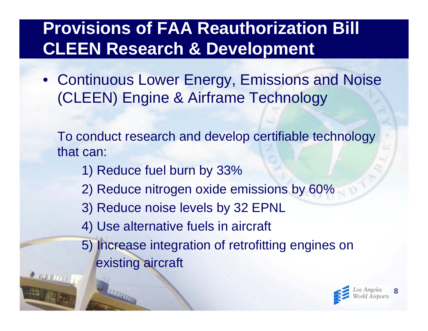## **Provisions of FAA Reauthorization Bill CLEEN Research & Development**

• Continuous Lower Energy, Emissions and Noise (CLEEN) Engine & Airframe Technology

To conduct research and develop certifiable technology that can:

- 1) Reduce fuel burn by 33%
- 2) Reduce nitrogen oxide emissions by 60%
- 3) Reduce noise levels by 32 EPNL
- 4) Use alternative fuels in aircraft
- 5) Increase integration of retrofitting engines on existing aircraft

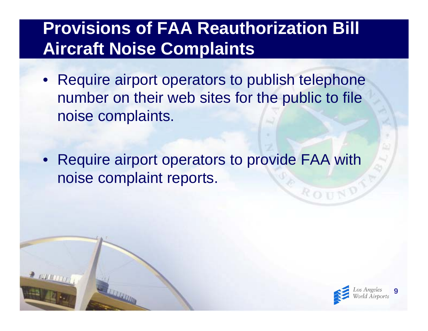## **Provisions of FAA Reauthorization Bill Aircraft Noise Complaints**

- Require airport operators to publish telephone number on their web sites for the public to file noise complaints.
- Require airport operators to provide FAA with noise complaint reports.



ROU